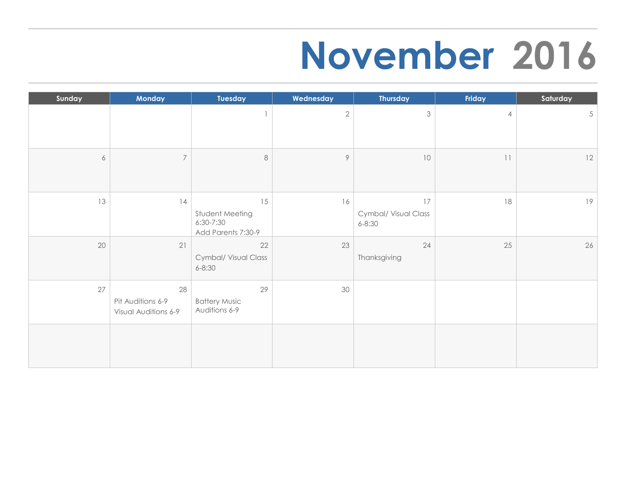### **November 2016**

| Sunday | Monday                                          | Tuesday                                                  | Wednesday    | <b>Thursday</b>                          | Friday            | Saturday        |
|--------|-------------------------------------------------|----------------------------------------------------------|--------------|------------------------------------------|-------------------|-----------------|
|        |                                                 |                                                          | $\mathbf{2}$ | $\mathfrak{Z}$                           | $\overline{4}$    | $5\overline{)}$ |
| 6      | $\overline{7}$                                  | $\,8\,$                                                  | $\circ$      | 10                                       | $\mid \; \; \mid$ | 12              |
| 13     | 14                                              | 15<br>Student Meeting<br>6:30-7:30<br>Add Parents 7:30-9 | 16           | 17<br>Cymbal/ Visual Class<br>$6 - 8:30$ | $18\,$            | 19              |
| 20     | 21                                              | 22<br>Cymbal/ Visual Class<br>$6 - 8:30$                 | 23           | 24<br>Thanksgiving                       | 25                | 26              |
| 27     | 28<br>Pit Auditions 6-9<br>Visual Auditions 6-9 | 29<br><b>Battery Music</b><br>Auditions 6-9              | 30           |                                          |                   |                 |
|        |                                                 |                                                          |              |                                          |                   |                 |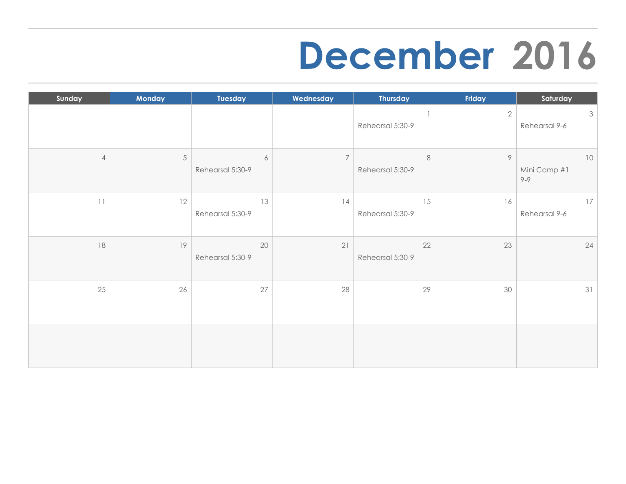#### **December 2016**

| Sunday         | Monday | Tuesday                              | Wednesday      | <b>Thursday</b>             | Friday       | Saturday                       |
|----------------|--------|--------------------------------------|----------------|-----------------------------|--------------|--------------------------------|
|                |        |                                      |                | Rehearsal 5:30-9            | $\mathbf{2}$ | $\mathcal{S}$<br>Rehearsal 9-6 |
| $\overline{4}$ | 5      | $\acute{\rm{o}}$<br>Rehearsal 5:30-9 | $\overline{7}$ | $\,8\,$<br>Rehearsal 5:30-9 | $\circ$      | 10<br>Mini Camp #1<br>$9 - 9$  |
| 11             | 12     | 13<br>Rehearsal 5:30-9               | 14             | 15<br>Rehearsal 5:30-9      | 16           | 17<br>Rehearsal 9-6            |
| 18             | 19     | 20<br>Rehearsal 5:30-9               | 21             | 22<br>Rehearsal 5:30-9      | 23           | 24                             |
| 25             | 26     | 27                                   | 28             | 29                          | 30           | 31                             |
|                |        |                                      |                |                             |              |                                |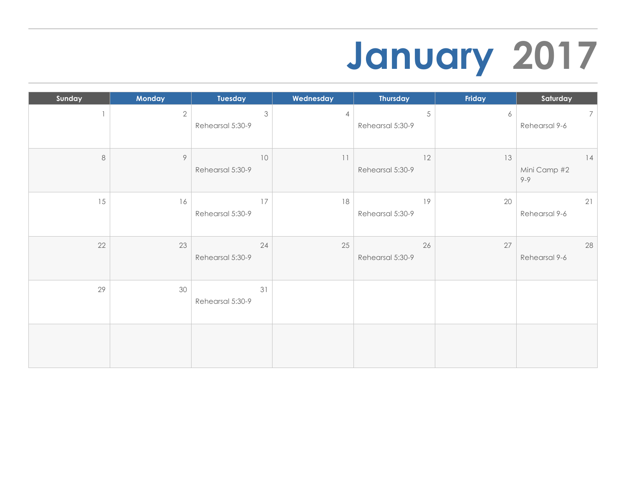## **January 2017**

| Sunday | Monday       | Tuesday                | Wednesday      | <b>Thursday</b>                | Friday | Saturday                         |
|--------|--------------|------------------------|----------------|--------------------------------|--------|----------------------------------|
|        | $\mathbf{2}$ | 3<br>Rehearsal 5:30-9  | $\overline{4}$ | $\sqrt{5}$<br>Rehearsal 5:30-9 | 6      | $7\overline{ }$<br>Rehearsal 9-6 |
| 8      | $\, \varphi$ | 10<br>Rehearsal 5:30-9 | 11             | 12<br>Rehearsal 5:30-9         | 13     | 14<br>Mini Camp #2<br>$9 - 9$    |
| 15     | 16           | 17<br>Rehearsal 5:30-9 | 18             | 19<br>Rehearsal 5:30-9         | 20     | 21<br>Rehearsal 9-6              |
| 22     | 23           | 24<br>Rehearsal 5:30-9 | 25             | 26<br>Rehearsal 5:30-9         | 27     | 28<br>Rehearsal 9-6              |
| 29     | 30           | 31<br>Rehearsal 5:30-9 |                |                                |        |                                  |
|        |              |                        |                |                                |        |                                  |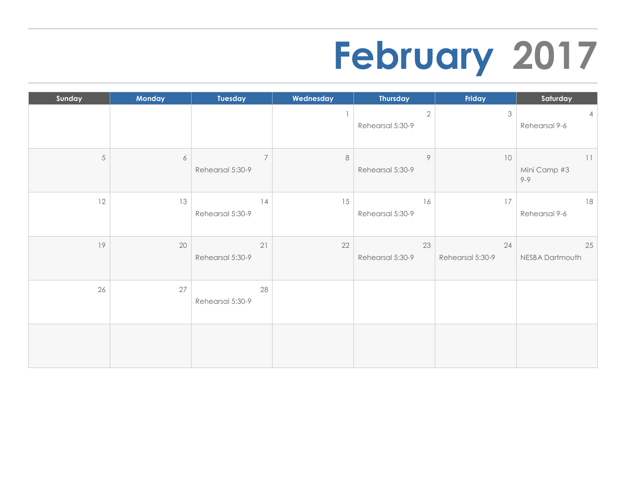## **February 2017**

| Sunday     | Monday           | Tuesday                            | Wednesday | <b>Thursday</b>                | Friday                 | Saturday                        |
|------------|------------------|------------------------------------|-----------|--------------------------------|------------------------|---------------------------------|
|            |                  |                                    |           | $\sqrt{2}$<br>Rehearsal 5:30-9 | $\mathfrak{Z}$         | $\overline{4}$<br>Rehearsal 9-6 |
| $\sqrt{5}$ | $\acute{\rm{o}}$ | $\overline{7}$<br>Rehearsal 5:30-9 | $\,8\,$   | 9<br>Rehearsal 5:30-9          | 10                     | 11<br>Mini Camp #3<br>$9 - 9$   |
| 12         | 13               | 14<br>Rehearsal 5:30-9             | 15        | 16<br>Rehearsal 5:30-9         | 17                     | 18<br>Rehearsal 9-6             |
| 19         | 20               | 21<br>Rehearsal 5:30-9             | 22        | 23<br>Rehearsal 5:30-9         | 24<br>Rehearsal 5:30-9 | 25<br>NESBA Dartmouth           |
| 26         | 27               | 28<br>Rehearsal 5:30-9             |           |                                |                        |                                 |
|            |                  |                                    |           |                                |                        |                                 |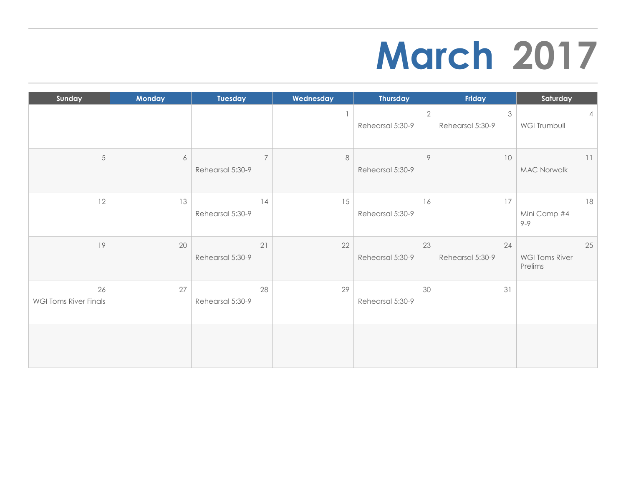### **March 2017**

| Sunday                             | <b>Monday</b>    | Tuesday                            | Wednesday | <b>Thursday</b>                | Friday                 | Saturday                               |
|------------------------------------|------------------|------------------------------------|-----------|--------------------------------|------------------------|----------------------------------------|
|                                    |                  |                                    |           | $\sqrt{2}$<br>Rehearsal 5:30-9 | 3<br>Rehearsal 5:30-9  | 4<br><b>WGI Trumbull</b>               |
| 5                                  | $\boldsymbol{6}$ | $\overline{7}$<br>Rehearsal 5:30-9 | 8         | 9<br>Rehearsal 5:30-9          | 10                     | 11<br><b>MAC Norwalk</b>               |
| 12                                 | 13               | 14<br>Rehearsal 5:30-9             | 15        | 16<br>Rehearsal 5:30-9         | 17                     | 18<br>Mini Camp #4<br>$9 - 9$          |
| 19                                 | 20               | 21<br>Rehearsal 5:30-9             | 22        | 23<br>Rehearsal 5:30-9         | 24<br>Rehearsal 5:30-9 | 25<br><b>WGI Toms River</b><br>Prelims |
| 26<br><b>WGI Toms River Finals</b> | 27               | 28<br>Rehearsal 5:30-9             | 29        | 30<br>Rehearsal 5:30-9         | 31                     |                                        |
|                                    |                  |                                    |           |                                |                        |                                        |